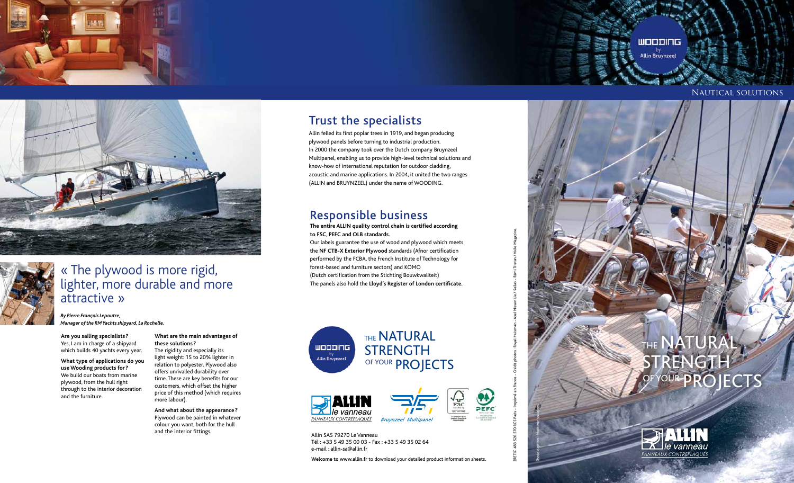# Nautical solutions

# THE NATURAL STRENGTH OF YOUR PROJECTS









# « The plywood is more rigid, lighter, more durable and more attractive »

*By Pierre François Lepoutre, Manager of the RM Yachts shipyard, La Rochelle.*

**Are you sailing specialists?** Yes, I am in charge of a shipyard which builds 40 yachts every year.

**What type of applications do you use Wooding products for?** We build our boats from marine plywood, from the hull right through to the interior decoration and the furniture.

#### **What are the main advantages of these solutions?**

The rigidity and especially its light weight: 15 to 20% lighter in relation to polyester. Plywood also offers unrivalled durability over time. These are key benefits for our customers, which offset the higher price of this method (which requires more labour).

**And what about the appearance?** Plywood can be painted in whatever colour you want, both for the hull and the interior fittings.

# Trust the specialists

Allin felled its first poplar trees in 1919, and began producing plywood panels before turning to industrial production. In 2000 the company took over the Dutch company Bruynzeel Multipanel, enabling us to provide high-level technical solutions and know-how of international reputation for outdoor cladding, acoustic and marine applications. In 2004, it united the two ranges (ALLIN and BRUYNZEEL) under the name of WOODING.

# Responsible business

**The entire ALLIN quality control chain is certified according to FSC, PEFC and OLB standards.**

Our labels guarantee the use of wood and plywood which meets the **NF CTB-X Exterior Plywood** standards (Afnor certification performed by the FCBA, the French Institute of Technology for forest-based and furniture sectors) and KOMO (Dutch certification from the Stichting Bouwkwaliteit) The panels also hold the **Lloyd's Register of London certificate.**











Allin SAS 79270 Le Vanneau Tél : +33 5 49 35 00 03 - Fax : +33 5 49 35 02 64 e-mail : allin-sa@allin.fr

**Welcome to www.allin.fr** to download your detailed product information sheets.